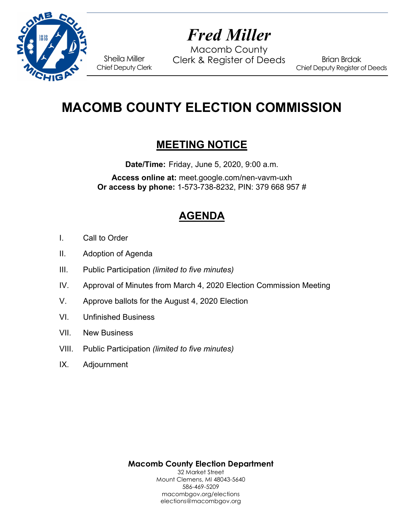

# *Fred Miller*

Macomb County Sheila Miller Clerk & Register of Deeds

Brian Brdak Chief Deputy Register of Deeds

## **MACOMB COUNTY ELECTION COMMISSION**

### **MEETING NOTICE**

**Date/Time:** Friday, June 5, 2020, 9:00 a.m.

**Access online at:** meet.google.com/nen-vavm-uxh **Or access by phone:** 1-573-738-8232, PIN: 379 668 957 #

## **AGENDA**

- I. Call to Order
- II. Adoption of Agenda

Chief Deputy Clerk

- III. Public Participation *(limited to five minutes)*
- IV. Approval of Minutes from March 4, 2020 Election Commission Meeting
- V. Approve ballots for the August 4, 2020 Election
- VI. Unfinished Business
- VII. New Business
- VIII. Public Participation *(limited to five minutes)*
- IX. Adjournment

**Macomb County Election Department**  32 Market Street Mount Clemens, MI 48043-5640 586-469-5209 macombgov.org/elections elections@macombgov.org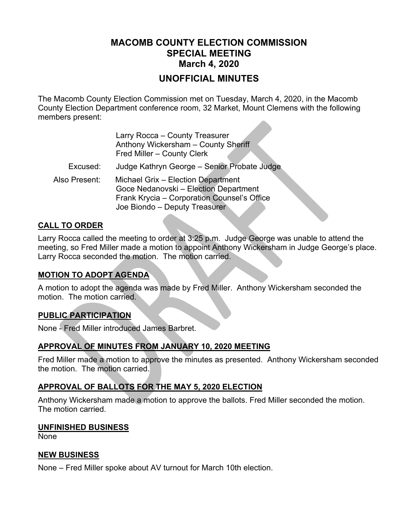### **MACOMB COUNTY ELECTION COMMISSION SPECIAL MEETING March 4, 2020**

#### **UNOFFICIAL MINUTES**

The Macomb County Election Commission met on Tuesday, March 4, 2020, in the Macomb County Election Department conference room, 32 Market, Mount Clemens with the following members present:

|               | Larry Rocca - County Treasurer<br>Anthony Wickersham - County Sheriff<br>Fred Miller - County Clerk                                                         |
|---------------|-------------------------------------------------------------------------------------------------------------------------------------------------------------|
| Excused:      | Judge Kathryn George - Senior Probate Judge                                                                                                                 |
| Also Present: | Michael Grix - Election Department<br>Goce Nedanovski - Election Department<br>Frank Krycia - Corporation Counsel's Office<br>Joe Biondo - Deputy Treasurer |

#### **CALL TO ORDER**

Larry Rocca called the meeting to order at 3:25 p.m. Judge George was unable to attend the meeting, so Fred Miller made a motion to appoint Anthony Wickersham in Judge George's place. Larry Rocca seconded the motion. The motion carried.

#### **MOTION TO ADOPT AGENDA**

A motion to adopt the agenda was made by Fred Miller. Anthony Wickersham seconded the motion. The motion carried.

#### **PUBLIC PARTICIPATION**

None - Fred Miller introduced James Barbret.

#### **APPROVAL OF MINUTES FROM JANUARY 10, 2020 MEETING**

Fred Miller made a motion to approve the minutes as presented. Anthony Wickersham seconded the motion. The motion carried.

#### **APPROVAL OF BALLOTS FOR THE MAY 5, 2020 ELECTION**

Anthony Wickersham made a motion to approve the ballots. Fred Miller seconded the motion. The motion carried.

#### **UNFINISHED BUSINESS**

None

#### **NEW BUSINESS**

None – Fred Miller spoke about AV turnout for March 10th election.